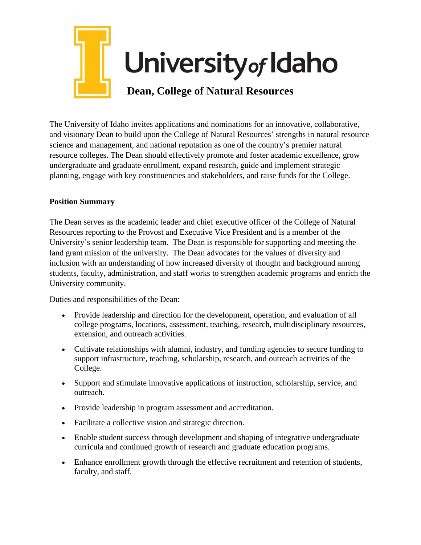

The University of Idaho invites applications and nominations for an innovative, collaborative, and visionary Dean to build upon the College of Natural Resources' strengths in natural resource science and management, and national reputation as one of the country's premier natural resource colleges. The Dean should effectively promote and foster academic excellence, grow undergraduate and graduate enrollment, expand research, guide and implement strategic planning, engage with key constituencies and stakeholders, and raise funds for the College.

## **Position Summary**

The Dean serves as the academic leader and chief executive officer of the College of Natural Resources reporting to the Provost and Executive Vice President and is a member of the University's senior leadership team. The Dean is responsible for supporting and meeting the land grant mission of the university. The Dean advocates for the values of diversity and inclusion with an understanding of how increased diversity of thought and background among students, faculty, administration, and staff works to strengthen academic programs and enrich the University community.

Duties and responsibilities of the Dean:

- Provide leadership and direction for the development, operation, and evaluation of all college programs, locations, assessment, teaching, research, multidisciplinary resources, extension, and outreach activities.
- Cultivate relationships with alumni, industry, and funding agencies to secure funding to support infrastructure, teaching, scholarship, research, and outreach activities of the College.
- Support and stimulate innovative applications of instruction, scholarship, service, and outreach.
- Provide leadership in program assessment and accreditation.
- Facilitate a collective vision and strategic direction.
- Enable student success through development and shaping of integrative undergraduate curricula and continued growth of research and graduate education programs.
- Enhance enrollment growth through the effective recruitment and retention of students, faculty, and staff.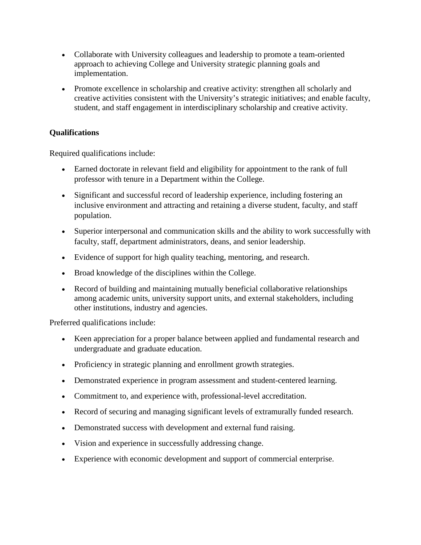- Collaborate with University colleagues and leadership to promote a team-oriented approach to achieving College and University strategic planning goals and implementation.
- Promote excellence in scholarship and creative activity: strengthen all scholarly and creative activities consistent with the University's strategic initiatives; and enable faculty, student, and staff engagement in interdisciplinary scholarship and creative activity.

# **Qualifications**

Required qualifications include:

- Earned doctorate in relevant field and eligibility for appointment to the rank of full professor with tenure in a Department within the College.
- Significant and successful record of leadership experience, including fostering an inclusive environment and attracting and retaining a diverse student, faculty, and staff population.
- Superior interpersonal and communication skills and the ability to work successfully with faculty, staff, department administrators, deans, and senior leadership.
- Evidence of support for high quality teaching, mentoring, and research.
- Broad knowledge of the disciplines within the College.
- Record of building and maintaining mutually beneficial collaborative relationships among academic units, university support units, and external stakeholders, including other institutions, industry and agencies.

Preferred qualifications include:

- Keen appreciation for a proper balance between applied and fundamental research and undergraduate and graduate education.
- Proficiency in strategic planning and enrollment growth strategies.
- Demonstrated experience in program assessment and student-centered learning.
- Commitment to, and experience with, professional-level accreditation.
- Record of securing and managing significant levels of extramurally funded research.
- Demonstrated success with development and external fund raising.
- Vision and experience in successfully addressing change.
- Experience with economic development and support of commercial enterprise.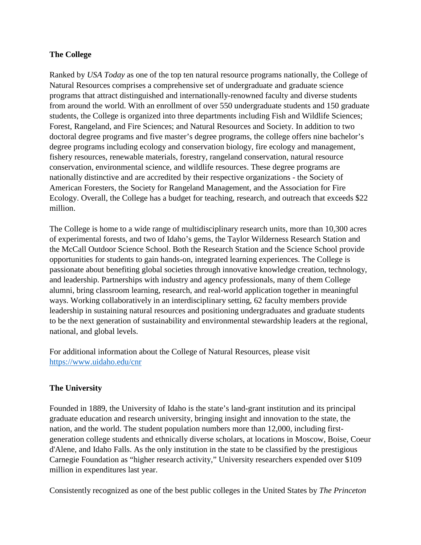#### **The College**

Ranked by *USA Today* as one of the top ten natural resource programs nationally, the College of Natural Resources comprises a comprehensive set of undergraduate and graduate science programs that attract distinguished and internationally-renowned faculty and diverse students from around the world. With an enrollment of over 550 undergraduate students and 150 graduate students, the College is organized into three departments including Fish and Wildlife Sciences; Forest, Rangeland, and Fire Sciences; and Natural Resources and Society. In addition to two doctoral degree programs and five master's degree programs, the college offers nine bachelor's degree programs including ecology and conservation biology, fire ecology and management, fishery resources, renewable materials, forestry, rangeland conservation, natural resource conservation, environmental science, and wildlife resources. These degree programs are nationally distinctive and are accredited by their respective organizations - the Society of American Foresters, the Society for Rangeland Management, and the Association for Fire Ecology. Overall, the College has a budget for teaching, research, and outreach that exceeds \$22 million.

The College is home to a wide range of multidisciplinary research units, more than 10,300 acres of experimental forests, and two of Idaho's gems, the Taylor Wilderness Research Station and the McCall Outdoor Science School. Both the Research Station and the Science School provide opportunities for students to gain hands-on, integrated learning experiences. The College is passionate about benefiting global societies through innovative knowledge creation, technology, and leadership. Partnerships with industry and agency professionals, many of them College alumni, bring classroom learning, research, and real-world application together in meaningful ways. Working collaboratively in an interdisciplinary setting, 62 faculty members provide leadership in sustaining natural resources and positioning undergraduates and graduate students to be the next generation of sustainability and environmental stewardship leaders at the regional, national, and global levels.

For additional information about the College of Natural Resources, please visit <https://www.uidaho.edu/cnr>

## **The University**

Founded in 1889, the University of Idaho is the state's land-grant institution and its principal graduate education and research university, bringing insight and innovation to the state, the nation, and the world. The student population numbers more than 12,000, including firstgeneration college students and ethnically diverse scholars, at locations in Moscow, Boise, Coeur d'Alene, and Idaho Falls. As the only institution in the state to be classified by the prestigious Carnegie Foundation as "higher research activity," University researchers expended over \$109 million in expenditures last year.

Consistently recognized as one of the best public colleges in the United States by *The Princeton*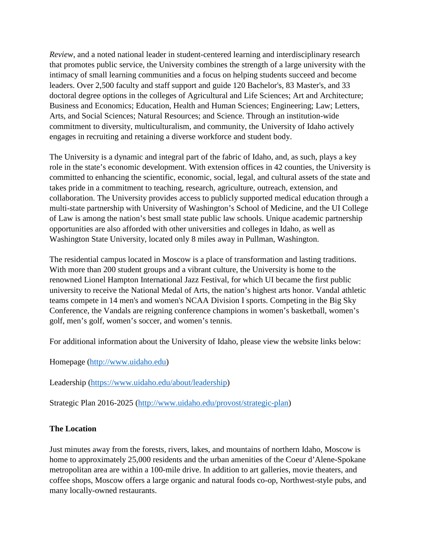*Review*, and a noted national leader in student-centered learning and interdisciplinary research that promotes public service, the University combines the strength of a large university with the intimacy of small learning communities and a focus on helping students succeed and become leaders. Over 2,500 faculty and staff support and guide 120 Bachelor's, 83 Master's, and 33 doctoral degree options in the colleges of Agricultural and Life Sciences; Art and Architecture; Business and Economics; Education, Health and Human Sciences; Engineering; Law; Letters, Arts, and Social Sciences; Natural Resources; and Science. Through an institution-wide commitment to diversity, multiculturalism, and community, the University of Idaho actively engages in recruiting and retaining a diverse workforce and student body.

The University is a dynamic and integral part of the fabric of Idaho, and, as such, plays a key role in the state's economic development. With extension offices in 42 counties, the University is committed to enhancing the scientific, economic, social, legal, and cultural assets of the state and takes pride in a commitment to teaching, research, agriculture, outreach, extension, and collaboration. The University provides access to publicly supported medical education through a multi-state partnership with University of Washington's School of Medicine, and the UI College of Law is among the nation's best small state public law schools. Unique academic partnership opportunities are also afforded with other universities and colleges in Idaho, as well as Washington State University, located only 8 miles away in Pullman, Washington.

The residential campus located in Moscow is a place of transformation and lasting traditions. With more than 200 student groups and a vibrant culture, the University is home to the renowned Lionel Hampton International Jazz Festival, for which UI became the first public university to receive the National Medal of Arts, the nation's highest arts honor. Vandal athletic teams compete in 14 men's and women's NCAA Division I sports. Competing in the Big Sky Conference, the Vandals are reigning conference champions in women's basketball, women's golf, men's golf, women's soccer, and women's tennis.

For additional information about the University of Idaho, please view the website links below:

Homepage [\(http://www.uidaho.edu\)](http://www.uidaho.edu/)

Leadership [\(https://www.uidaho.edu/about/leadership\)](https://www.uidaho.edu/about/leadership)

Strategic Plan 2016-2025 [\(http://www.uidaho.edu/provost/strategic-plan\)](http://www.uidaho.edu/provost/strategic-plan)

#### **The Location**

Just minutes away from the forests, rivers, lakes, and mountains of northern Idaho, Moscow is home to approximately 25,000 residents and the urban amenities of the Coeur d'Alene-Spokane metropolitan area are within a 100-mile drive. In addition to art galleries, movie theaters, and coffee shops, Moscow offers a large organic and natural foods co-op, Northwest-style pubs, and many locally-owned restaurants.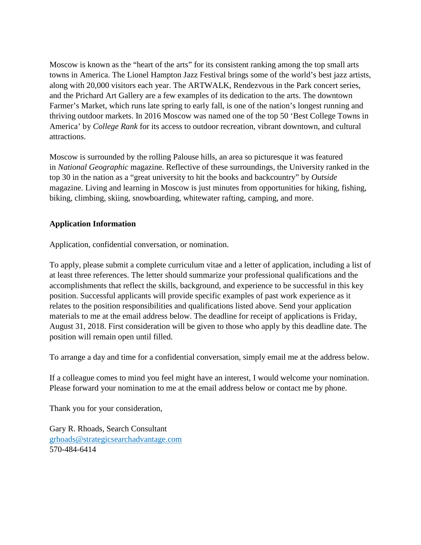Moscow is known as the "heart of the arts" for its consistent ranking among the top small arts towns in America. The Lionel Hampton Jazz Festival brings some of the world's best jazz artists, along with 20,000 visitors each year. The ARTWALK, Rendezvous in the Park concert series, and the Prichard Art Gallery are a few examples of its dedication to the arts. The downtown Farmer's Market, which runs late spring to early fall, is one of the nation's longest running and thriving outdoor markets. In 2016 Moscow was named one of the top 50 'Best College Towns in America' by *College Rank* for its access to outdoor recreation, vibrant downtown, and cultural attractions.

Moscow is surrounded by the rolling Palouse hills, an area so picturesque it was featured in *National Geographic* magazine. Reflective of these surroundings, the University ranked in the top 30 in the nation as a "great university to hit the books and backcountry" by *Outside* magazine. Living and learning in Moscow is just minutes from opportunities for hiking, fishing, biking, climbing, skiing, snowboarding, whitewater rafting, camping, and more.

# **Application Information**

Application, confidential conversation, or nomination.

To apply, please submit a complete curriculum vitae and a letter of application, including a list of at least three references. The letter should summarize your professional qualifications and the accomplishments that reflect the skills, background, and experience to be successful in this key position. Successful applicants will provide specific examples of past work experience as it relates to the position responsibilities and qualifications listed above. Send your application materials to me at the email address below. The deadline for receipt of applications is Friday, August 31, 2018. First consideration will be given to those who apply by this deadline date. The position will remain open until filled.

To arrange a day and time for a confidential conversation, simply email me at the address below.

If a colleague comes to mind you feel might have an interest, I would welcome your nomination. Please forward your nomination to me at the email address below or contact me by phone.

Thank you for your consideration,

Gary R. Rhoads, Search Consultant [grhoads@strategicsearchadvantage.com](mailto:grhoads@strategicsearchadvantage.com) 570-484-6414